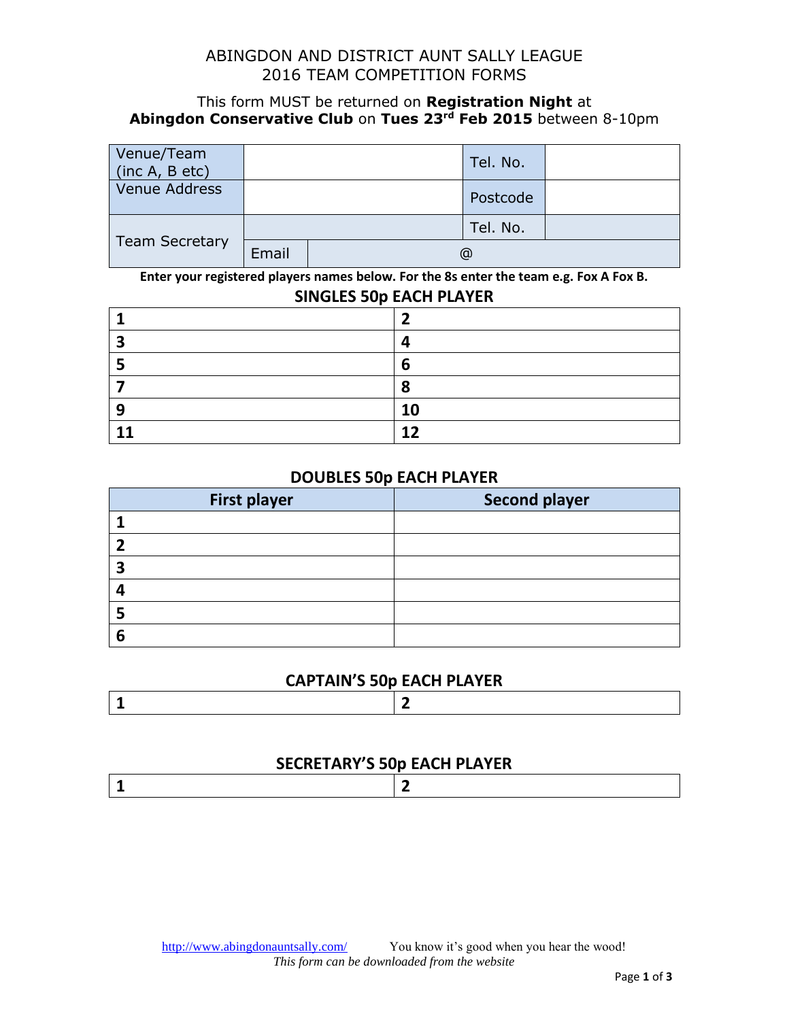### ABINGDON AND DISTRICT AUNT SALLY LEAGUE 2016 TEAM COMPETITION FORMS

#### This form MUST be returned on **Registration Night** at **Abingdon Conservative Club** on **Tues 23rd Feb 2015** between 8-10pm

| Venue/Team<br>(inc A, B etc) |       | Tel. No. |  |
|------------------------------|-------|----------|--|
| Venue Address                |       | Postcode |  |
|                              |       | Tel. No. |  |
| <b>Team Secretary</b>        | Email | @        |  |

**Enter your registered players names below. For the 8s enter the team e.g. Fox A Fox B.**

#### **SINGLES 50p EACH PLAYER**

| э |    |
|---|----|
|   |    |
|   |    |
| a | 10 |
|   | 12 |

#### **DOUBLES 50p EACH PLAYER**

| <b>First player</b> | <b>Second player</b> |
|---------------------|----------------------|
|                     |                      |
|                     |                      |
| э                   |                      |
|                     |                      |
|                     |                      |
| 6                   |                      |

#### **CAPTAIN'S 50p EACH PLAYER**

|--|

#### **SECRETARY'S 50p EACH PLAYER**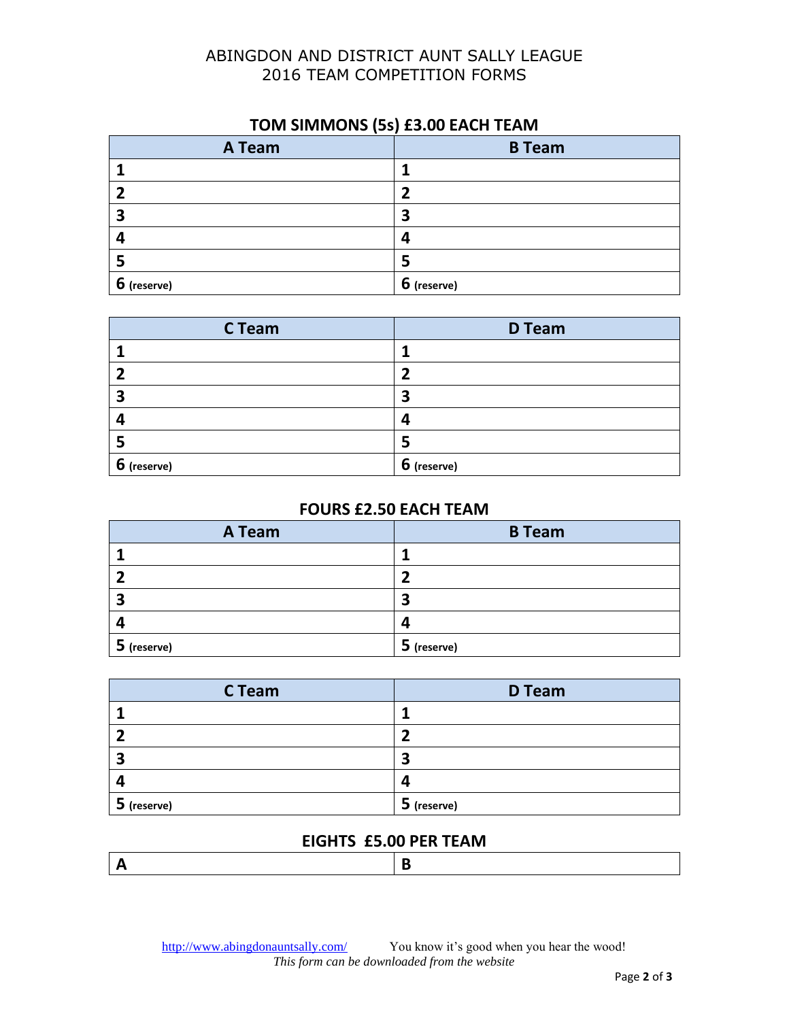## ABINGDON AND DISTRICT AUNT SALLY LEAGUE TEAM COMPETITION FORMS

## **TOM SIMMONS (5s) £3.00 EACH TEAM**

| A Team      | <b>B</b> Team |
|-------------|---------------|
|             |               |
|             |               |
| 3           | 3             |
|             | 4             |
|             |               |
| 6 (reserve) | 6 (reserve)   |

| C Team      | <b>D</b> Team |
|-------------|---------------|
|             |               |
|             |               |
| 3           | 3             |
| 4           |               |
| Э           |               |
| 6 (reserve) | 6 (reserve)   |

#### **FOURS £2.50 EACH TEAM**

| A Team      | <b>B</b> Team |
|-------------|---------------|
|             |               |
|             |               |
| п           |               |
|             | 4             |
| 5 (reserve) | 5 (reserve)   |

| C Team      | <b>D</b> Team |
|-------------|---------------|
|             |               |
|             |               |
| э           | 3             |
|             | Δ             |
| 5 (reserve) | 5 (reserve)   |

## **EIGHTS £5.00 PER TEAM**

|--|

<http://www.abingdonauntsally.com/>You know it's good when you hear the wood! *This form can be downloaded from the website*